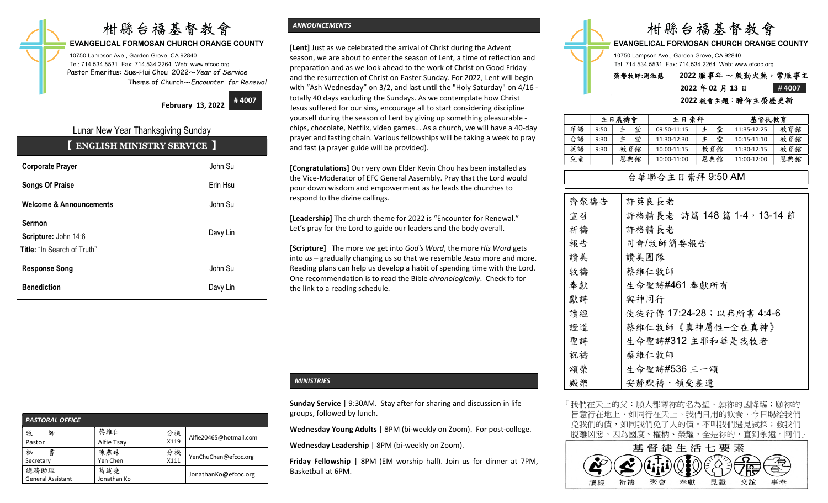# 柑縣台福基督教會

**EVANGELICAL FORMOSAN CHURCH ORANGE COUNTY** 

10750 Lampson Ave., Garden Grove, CA 92840 Tel: 714.534.5531 Fax: 714.534.2264 Web: www.efcoc.org Pastor Emeritus: Sue-Hui Chou 2022〜Year of Service Theme of Church〜Encounter for Renewal

February 13, 2022 #4007

# Lunar New Year Thanksgiving Sunday

| <b>ENGLISH MINISTRY SERVICE</b> |  |  |  |  |  |  |
|---------------------------------|--|--|--|--|--|--|
| John Su                         |  |  |  |  |  |  |
| Erin Hsu                        |  |  |  |  |  |  |
| John Su                         |  |  |  |  |  |  |
| Davy Lin                        |  |  |  |  |  |  |
| John Su                         |  |  |  |  |  |  |
| Davy Lin                        |  |  |  |  |  |  |
|                                 |  |  |  |  |  |  |

## ANNOUNCEMENTS

**[Lent]** Just as we celebrated the arrival of Christ during the Advent season, we are about to enter the season of Lent, a time of reflection and preparation and as we look ahead to the work of Christ on Good Friday and the resurrection of Christ on Easter Sunday. For 2022, Lent will begin with "Ash Wednesday" on 3/2, and last until the "Holy Saturday" on 4/16 totally 40 days excluding the Sundays. As we contemplate how Christ Jesus suffered for our sins, encourage all to start considering discipline yourself during the season of Lent by giving up something pleasurable chips, chocolate, Netflix, video games... As a church, we will have a 40-day prayer and fasting chain. Various fellowships will be taking a week to pray and fast (a prayer guide will be provided).

[Congratulations] Our very own Elder Kevin Chou has been installed as the Vice-Moderator of EFC General Assembly. Pray that the Lord would pour down wisdom and empowerment as he leads the churches to respond to the divine callings.

[Leadership] The church theme for 2022 is "Encounter for Renewal." Let's pray for the Lord to guide our leaders and the body overall.

[Scripture] The more we get into God's Word, the more His Word gets into us – gradually changing us so that we resemble Jesus more and more. Reading plans can help us develop a habit of spending time with the Lord. One recommendation is to read the Bible chronologically. Check fb for the link to a reading schedule.

| <b>PASTORAL OFFICE</b> |             |      |                        |  |  |  |  |  |
|------------------------|-------------|------|------------------------|--|--|--|--|--|
| 牧<br>師                 | 蔡維仁         | 分機   | Alfie20465@hotmail.com |  |  |  |  |  |
| Pastor                 | Alfie Tsay  | X119 |                        |  |  |  |  |  |
| 書<br>祕                 | 陳燕珠         | 分機   | YenChuChen@efcoc.org   |  |  |  |  |  |
| Secretary              | Yen Chen    | X111 |                        |  |  |  |  |  |
| 總務助理                   | 葛述堯         |      | JonathanKo@efcoc.org   |  |  |  |  |  |
| General Assistant      | Jonathan Ko |      |                        |  |  |  |  |  |

# **MINISTRIES**

Sunday Service | 9:30AM. Stay after for sharing and discussion in life groups, followed by lunch.

Wednesday Young Adults | 8PM (bi-weekly on Zoom). For post-college.

Wednesday Leadership | 8PM (bi-weekly on Zoom).

Friday Fellowship | 8PM (EM worship hall). Join us for dinner at 7PM, Basketball at 6PM.



## 2022 教會主題:瞻仰主榮歷更新

|    |      | 主日晨禱會  |             | 主日崇拜 |             | 基督徒教育 |  |
|----|------|--------|-------------|------|-------------|-------|--|
| 華語 | 9:50 | 堂<br>主 | 09:50-11:15 | 堂    | 11:35-12:25 | 教育館   |  |
| 台語 | 9:30 | 堂<br>主 | 11:30-12:30 | 堂    | 10:15-11:10 | 教育館   |  |
| 英語 | 9:30 | 教育館    | 10:00-11:15 | 教育館  | 11:30-12:15 | 教育館   |  |
| 兒童 |      | 恩典館    | 10:00-11:00 | 恩典館  | 11:00-12:00 | 恩典館   |  |

## 台華聯合主日崇拜 9:50 AM

| 齊聚禱告 | 許英良長老                       |
|------|-----------------------------|
| 宣召   | 許格精長老 詩篇 148 篇 1-4, 13-14 節 |
| 祈禱   | 許格精長老                       |
| 報告   | 司會/牧師簡要報告                   |
| 讚美   | 讚美團隊                        |
| 牧禱   | 蔡維仁牧師                       |
| 奉獻   | 生命聖詩#461 奉獻所有               |
| 獻詩   | 與神同行                        |
| 讀經   | 使徒行傳 17:24-28; 以弗所書 4:4-6   |
| 證道   | 蔡維仁牧師《真神屬性-全在真神》            |
| 聖詩   | 生命聖詩#312 主耶和華是我牧者           |
| 祝禱   | 蔡維仁牧師                       |
| 頌榮   | 生命聖詩#536 三一頌                |
| 殿樂   | 安靜默禱, 領受差遣                  |

『我們在天上的父:願人都尊祢的名為聖。願祢的國降臨;願祢的 旨意行在地上,如同行在天上。我們日用的飲食,今日賜給我們 免我們的債,如同我們免了人的債。不叫我們遇見試探;救我們 脫離凶惡。因為國度、權柄、榮耀,全是祢的,直到永遠。阿們』